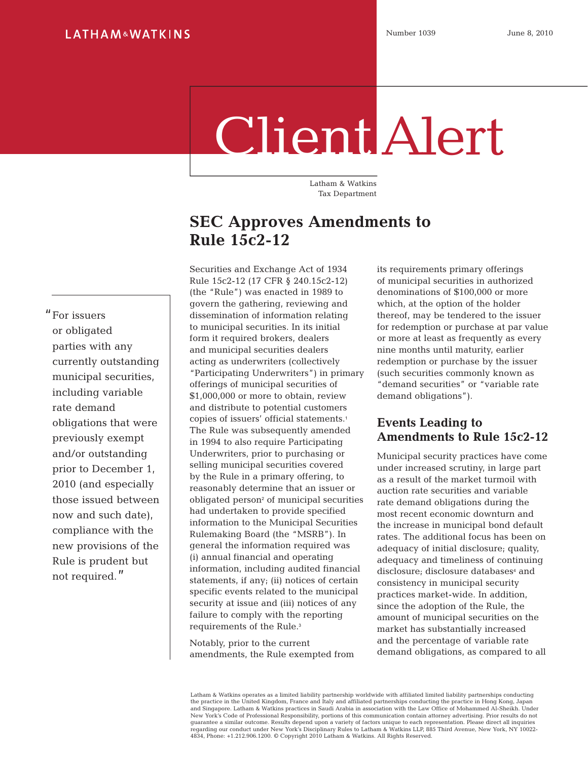"For issuers or obligated parties with any

rate demand

currently outstanding municipal securities, including variable

obligations that were previously exempt and/or outstanding prior to December 1, 2010 (and especially those issued between now and such date), compliance with the new provisions of the Rule is prudent but not required."

# Client Alert

Latham & Watkins Tax Department

# **SEC Approves Amendments to Rule 15c2-12**

Securities and Exchange Act of 1934 Rule 15c2-12 (17 CFR § 240.15c2-12) (the "Rule") was enacted in 1989 to govern the gathering, reviewing and dissemination of information relating to municipal securities. In its initial form it required brokers, dealers and municipal securities dealers acting as underwriters (collectively "Participating Underwriters") in primary offerings of municipal securities of \$1,000,000 or more to obtain, review and distribute to potential customers copies of issuers' official statements.<sup>1</sup> The Rule was subsequently amended in 1994 to also require Participating Underwriters, prior to purchasing or selling municipal securities covered by the Rule in a primary offering, to reasonably determine that an issuer or obligated person<sup>2</sup> of municipal securities had undertaken to provide specified information to the Municipal Securities Rulemaking Board (the "MSRB"). In general the information required was (i) annual financial and operating information, including audited financial statements, if any; (ii) notices of certain specific events related to the municipal security at issue and (iii) notices of any failure to comply with the reporting requirements of the Rule.<sup>3</sup>

Notably, prior to the current amendments, the Rule exempted from its requirements primary offerings of municipal securities in authorized denominations of \$100,000 or more which, at the option of the holder thereof, may be tendered to the issuer for redemption or purchase at par value or more at least as frequently as every nine months until maturity, earlier redemption or purchase by the issuer (such securities commonly known as "demand securities" or "variable rate demand obligations").

# **Events Leading to Amendments to Rule 15c2-12**

Municipal security practices have come under increased scrutiny, in large part as a result of the market turmoil with auction rate securities and variable rate demand obligations during the most recent economic downturn and the increase in municipal bond default rates. The additional focus has been on adequacy of initial disclosure; quality, adequacy and timeliness of continuing disclosure; disclosure databases<sup>4</sup> and consistency in municipal security practices market-wide. In addition, since the adoption of the Rule, the amount of municipal securities on the market has substantially increased and the percentage of variable rate demand obligations, as compared to all

Latham & Watkins operates as a limited liability partnership worldwide with affiliated limited liability partnerships conducting the practice in the United Kingdom, France and Italy and affiliated partnerships conducting the practice in Hong Kong, Japan and Singapore. Latham & Watkins practices in Saudi Arabia in association with the Law Office of Mohammed Al-Sheikh. Under New York's Code of Professional Responsibility, portions of this communication contain attorney advertising. Prior results do not guarantee a similar outcome. Results depend upon a variety of factors unique to each representation. Please direct all inquiries regarding our conduct under New York's Disciplinary Rules to Latham & Watkins LLP, 885 Third Avenue, New York, NY 10022- 4834, Phone: +1.212.906.1200. © Copyright 2010 Latham & Watkins. All Rights Reserved.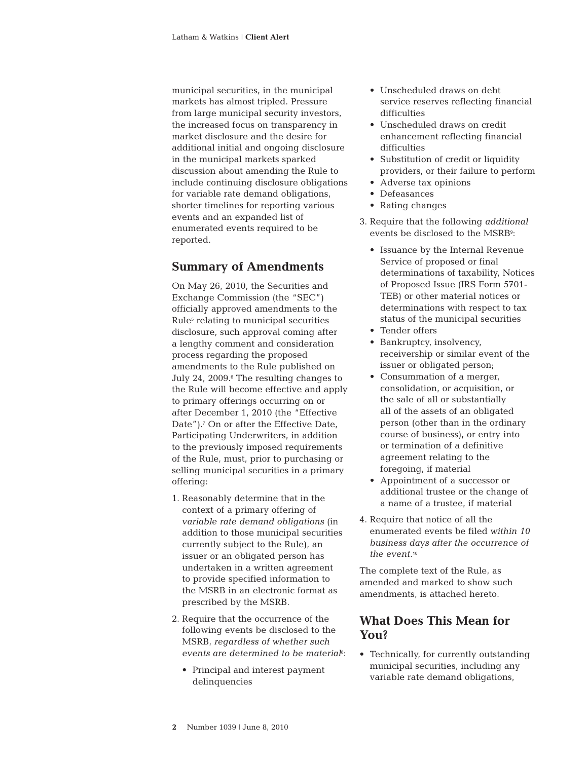municipal securities, in the municipal markets has almost tripled. Pressure from large municipal security investors, the increased focus on transparency in market disclosure and the desire for additional initial and ongoing disclosure in the municipal markets sparked discussion about amending the Rule to include continuing disclosure obligations for variable rate demand obligations, shorter timelines for reporting various events and an expanded list of enumerated events required to be reported.

# **Summary of Amendments**

On May 26, 2010, the Securities and Exchange Commission (the "SEC") officially approved amendments to the Rule5 relating to municipal securities disclosure, such approval coming after a lengthy comment and consideration process regarding the proposed amendments to the Rule published on July 24, 2009.<sup>6</sup> The resulting changes to the Rule will become effective and apply to primary offerings occurring on or after December 1, 2010 (the "Effective Date").<sup>7</sup> On or after the Effective Date, Participating Underwriters, in addition to the previously imposed requirements of the Rule, must, prior to purchasing or selling municipal securities in a primary offering:

- 1. Reasonably determine that in the context of a primary offering of *variable rate demand obligations* (in addition to those municipal securities currently subject to the Rule), an issuer or an obligated person has undertaken in a written agreement to provide specified information to the MSRB in an electronic format as prescribed by the MSRB.
- 2. Require that the occurrence of the following events be disclosed to the MSRB, *regardless of whether such events are determined to be material*8:
	- Principal and interest payment delinquencies
- Unscheduled draws on debt service reserves reflecting financial difficulties
- Unscheduled draws on credit enhancement reflecting financial difficulties
- Substitution of credit or liquidity providers, or their failure to perform
- Adverse tax opinions
- Defeasances
- Rating changes
- 3. Require that the following *additional*  events be disclosed to the MSRB9:
	- Issuance by the Internal Revenue Service of proposed or final determinations of taxability, Notices of Proposed Issue (IRS Form 5701- TEB) or other material notices or determinations with respect to tax status of the municipal securities
	- Tender offers
	- Bankruptcy, insolvency, receivership or similar event of the issuer or obligated person;
	- Consummation of a merger, consolidation, or acquisition, or the sale of all or substantially all of the assets of an obligated person (other than in the ordinary course of business), or entry into or termination of a definitive agreement relating to the foregoing, if material
	- Appointment of a successor or additional trustee or the change of a name of a trustee, if material
- 4. Require that notice of all the enumerated events be filed *within 10 business days after the occurrence of the event*.<sup>10</sup>

The complete text of the Rule, as amended and marked to show such amendments, is attached hereto.

# **What Does This Mean for You?**

• Technically, for currently outstanding municipal securities, including any variable rate demand obligations,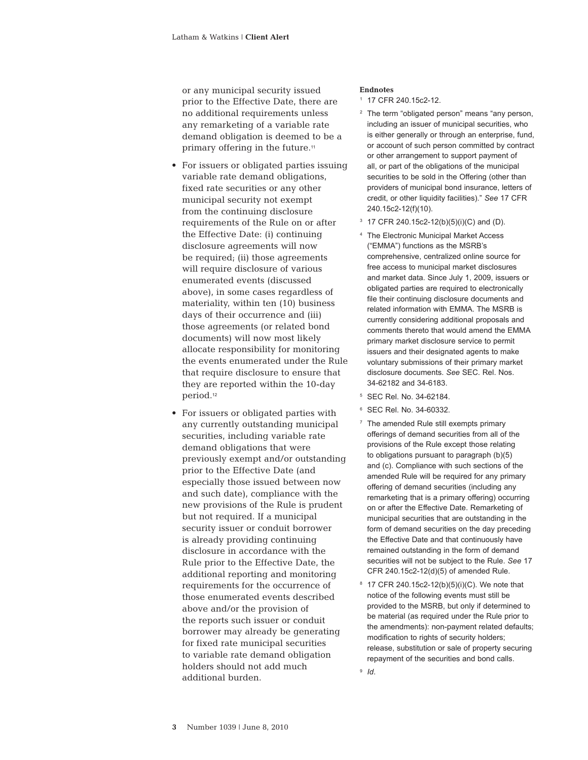or any municipal security issued prior to the Effective Date, there are no additional requirements unless any remarketing of a variable rate demand obligation is deemed to be a primary offering in the future.<sup>11</sup>

- For issuers or obligated parties issuing variable rate demand obligations, fixed rate securities or any other municipal security not exempt from the continuing disclosure requirements of the Rule on or after the Effective Date: (i) continuing disclosure agreements will now be required; (ii) those agreements will require disclosure of various enumerated events (discussed above), in some cases regardless of materiality, within ten (10) business days of their occurrence and (iii) those agreements (or related bond documents) will now most likely allocate responsibility for monitoring the events enumerated under the Rule that require disclosure to ensure that they are reported within the 10-day period.<sup>12</sup>
- For issuers or obligated parties with any currently outstanding municipal securities, including variable rate demand obligations that were previously exempt and/or outstanding prior to the Effective Date (and especially those issued between now and such date), compliance with the new provisions of the Rule is prudent but not required. If a municipal security issuer or conduit borrower is already providing continuing disclosure in accordance with the Rule prior to the Effective Date, the additional reporting and monitoring requirements for the occurrence of those enumerated events described above and/or the provision of the reports such issuer or conduit borrower may already be generating for fixed rate municipal securities to variable rate demand obligation holders should not add much additional burden.

### **Endnotes**

- 1 17 CFR 240.15c2-12.
- <sup>2</sup> The term "obligated person" means "any person, including an issuer of municipal securities, who is either generally or through an enterprise, fund, or account of such person committed by contract or other arrangement to support payment of all, or part of the obligations of the municipal securities to be sold in the Offering (other than providers of municipal bond insurance, letters of credit, or other liquidity facilities)." *See* 17 CFR 240.15c2-12(f)(10).
- $3$  17 CFR 240.15c2-12(b)(5)(i)(C) and (D).
- <sup>4</sup> The Electronic Municipal Market Access ("EMMA") functions as the MSRB's comprehensive, centralized online source for free access to municipal market disclosures and market data. Since July 1, 2009, issuers or obligated parties are required to electronically file their continuing disclosure documents and related information with EMMA. The MSRB is currently considering additional proposals and comments thereto that would amend the EMMA primary market disclosure service to permit issuers and their designated agents to make voluntary submissions of their primary market disclosure documents. *See* SEC. Rel. Nos. 34-62182 and 34-6183.
- 5 SEC Rel. No. 34-62184.
- SEC Rel. No. 34-60332.
- The amended Rule still exempts primary offerings of demand securities from all of the provisions of the Rule except those relating to obligations pursuant to paragraph (b)(5) and (c). Compliance with such sections of the amended Rule will be required for any primary offering of demand securities (including any remarketing that is a primary offering) occurring on or after the Effective Date. Remarketing of municipal securities that are outstanding in the form of demand securities on the day preceding the Effective Date and that continuously have remained outstanding in the form of demand securities will not be subject to the Rule. *See* 17 CFR 240.15c2-12(d)(5) of amended Rule.
- 8 17 CFR 240.15c2-12(b)(5)(i)(C). We note that notice of the following events must still be provided to the MSRB, but only if determined to be material (as required under the Rule prior to the amendments): non-payment related defaults; modification to rights of security holders; release, substitution or sale of property securing repayment of the securities and bond calls.

<sup>9</sup> *Id*.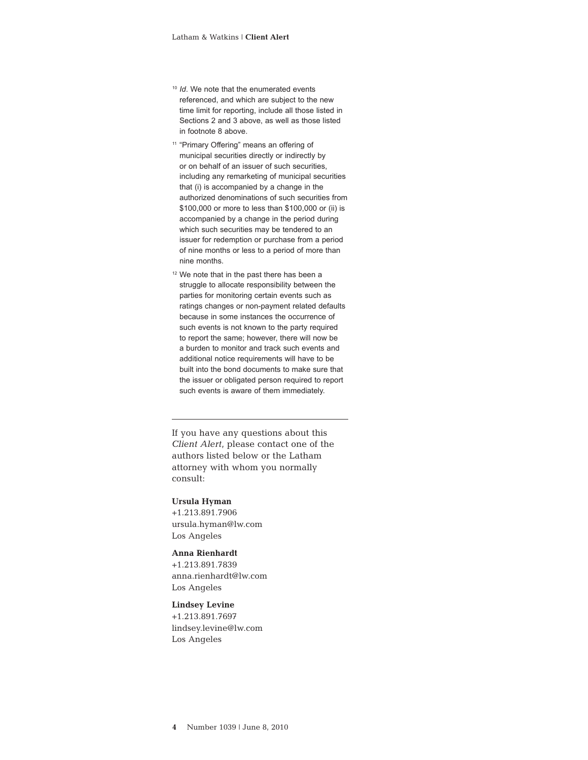- <sup>10</sup> *Id*. We note that the enumerated events referenced, and which are subject to the new time limit for reporting, include all those listed in Sections 2 and 3 above, as well as those listed in footnote 8 above.
- <sup>11</sup> "Primary Offering" means an offering of municipal securities directly or indirectly by or on behalf of an issuer of such securities, including any remarketing of municipal securities that (i) is accompanied by a change in the authorized denominations of such securities from \$100,000 or more to less than \$100,000 or (ii) is accompanied by a change in the period during which such securities may be tendered to an issuer for redemption or purchase from a period of nine months or less to a period of more than nine months.
- <sup>12</sup> We note that in the past there has been a struggle to allocate responsibility between the parties for monitoring certain events such as ratings changes or non-payment related defaults because in some instances the occurrence of such events is not known to the party required to report the same; however, there will now be a burden to monitor and track such events and additional notice requirements will have to be built into the bond documents to make sure that the issuer or obligated person required to report such events is aware of them immediately.

If you have any questions about this *Client Alert*, please contact one of the authors listed below or the Latham attorney with whom you normally consult:

### **Ursula Hyman**

+1.213.891.7906 ursula.hyman@lw.com Los Angeles

## **Anna Rienhardt**

+1.213.891.7839 anna.rienhardt@lw.com Los Angeles

### **Lindsey Levine**

+1.213.891.7697 lindsey.levine@lw.com Los Angeles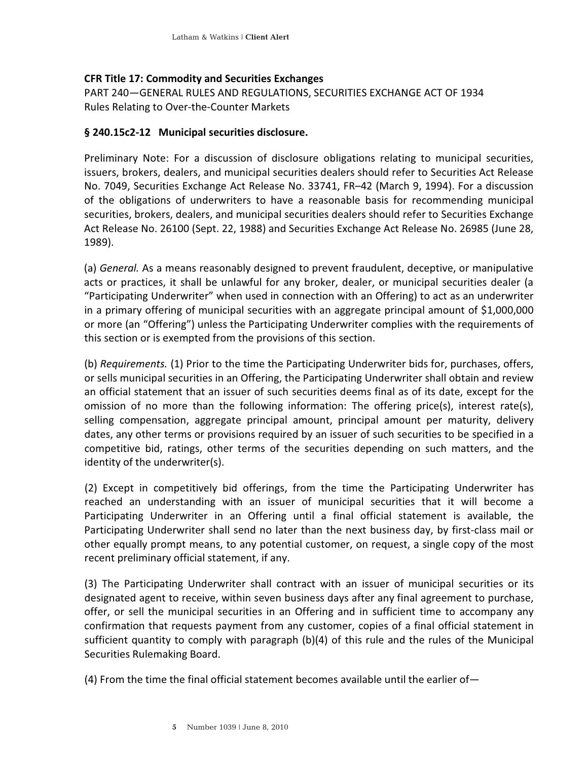# **CFR Title 17: Commodity and Securities Exchanges**

PART 240-GENERAL RULES AND REGULATIONS, SECURITIES EXCHANGE ACT OF 1934 Rules Relating to Over-the-Counter Markets

# § 240.15c2-12 Municipal securities disclosure.

Preliminary Note: For a discussion of disclosure obligations relating to municipal securities, issuers, brokers, dealers, and municipal securities dealers should refer to Securities Act Release No. 7049, Securities Exchange Act Release No. 33741, FR-42 (March 9, 1994). For a discussion of the obligations of underwriters to have a reasonable basis for recommending municipal securities, brokers, dealers, and municipal securities dealers should refer to Securities Exchange Act Release No. 26100 (Sept. 22, 1988) and Securities Exchange Act Release No. 26985 (June 28, 1989).

(a) General. As a means reasonably designed to prevent fraudulent, deceptive, or manipulative acts or practices, it shall be unlawful for any broker, dealer, or municipal securities dealer (a "Participating Underwriter" when used in connection with an Offering) to act as an underwriter in a primary offering of municipal securities with an aggregate principal amount of  $$1,000,000$ or more (an "Offering") unless the Participating Underwriter complies with the requirements of this section or is exempted from the provisions of this section.

(b) Requirements. (1) Prior to the time the Participating Underwriter bids for, purchases, offers, or sells municipal securities in an Offering, the Participating Underwriter shall obtain and review an official statement that an issuer of such securities deems final as of its date, except for the omission of no more than the following information: The offering price(s), interest rate(s), selling compensation, aggregate principal amount, principal amount per maturity, delivery dates, any other terms or provisions required by an issuer of such securities to be specified in a competitive bid, ratings, other terms of the securities depending on such matters, and the identity of the underwriter(s).

(2) Except in competitively bid offerings, from the time the Participating Underwriter has reached an understanding with an issuer of municipal securities that it will become a Participating Underwriter in an Offering until a final official statement is available, the Participating Underwriter shall send no later than the next business day, by first-class mail or other equally prompt means, to any potential customer, on request, a single copy of the most recent preliminary official statement, if any.

(3) The Participating Underwriter shall contract with an issuer of municipal securities or its designated agent to receive, within seven business days after any final agreement to purchase, offer, or sell the municipal securities in an Offering and in sufficient time to accompany any confirmation that requests payment from any customer, copies of a final official statement in sufficient quantity to comply with paragraph (b)(4) of this rule and the rules of the Municipal Securities Rulemaking Board.

 $(4)$  From the time the final official statement becomes available until the earlier of  $-$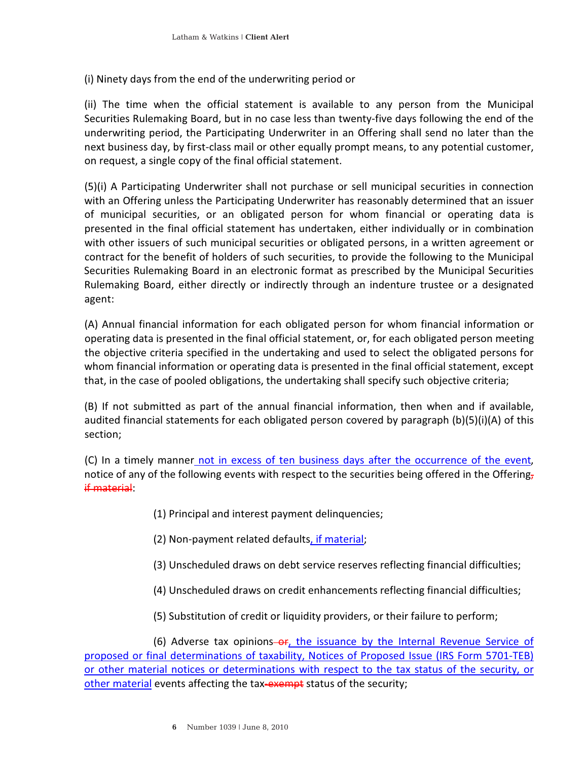(i) Ninety days from the end of the underwriting period or

(ii) The time when the official statement is available to any person from the Municipal Securities Rulemaking Board, but in no case less than twenty-five days following the end of the underwriting period, the Participating Underwriter in an Offering shall send no later than the next business day, by first-class mail or other equally prompt means, to any potential customer, on request, a single copy of the final official statement.

(5)(i) A Participating Underwriter shall not purchase or sell municipal securities in connection with an Offering unless the Participating Underwriter has reasonably determined that an issuer of municipal securities, or an obligated person for whom financial or operating data is presented in the final official statement has undertaken, either individually or in combination with other issuers of such municipal securities or obligated persons, in a written agreement or contract for the benefit of holders of such securities, to provide the following to the Municipal Securities Rulemaking Board in an electronic format as prescribed by the Municipal Securities Rulemaking Board, either directly or indirectly through an indenture trustee or a designated agent:

(A) Annual financial information for each obligated person for whom financial information or operating data is presented in the final official statement, or, for each obligated person meeting the objective criteria specified in the undertaking and used to select the obligated persons for whom financial information or operating data is presented in the final official statement, except that, in the case of pooled obligations, the undertaking shall specify such objective criteria;

(B) If not submitted as part of the annual financial information, then when and if available, audited financial statements for each obligated person covered by paragraph  $(b)(5)(i)(A)$  of this section;

(C) In a timely manner not in excess of ten business days after the occurrence of the event, notice of any of the following events with respect to the securities being offered in the Offering, if material:

- (1) Principal and interest payment delinquencies;
- (2) Non-payment related defaults, if material;
- (3) Unscheduled draws on debt service reserves reflecting financial difficulties;
- (4) Unscheduled draws on credit enhancements reflecting financial difficulties;
- (5) Substitution of credit or liquidity providers, or their failure to perform;

(6) Adverse tax opinions-or, the issuance by the Internal Revenue Service of proposed or final determinations of taxability, Notices of Proposed Issue (IRS Form 5701-TEB) or other material notices or determinations with respect to the tax status of the security, or other material events affecting the tax-exempt status of the security;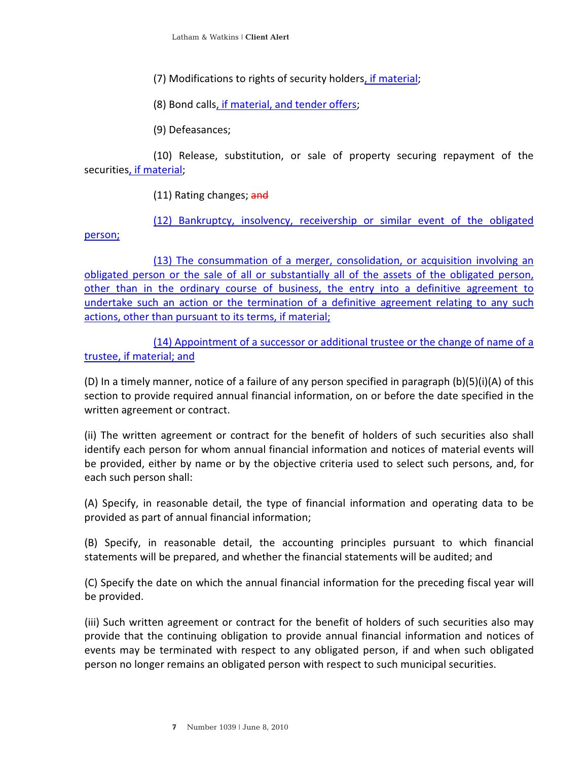(7) Modifications to rights of security holders, if material;

(8) Bond calls, if material, and tender offers;

(9) Defeasances;

(10) Release, substitution, or sale of property securing repayment of the securities, if material;

(11) Rating changes; and

(12) Bankruptcy, insolvency, receivership or similar event of the obligated person;

(13) The consummation of a merger, consolidation, or acquisition involving an obligated person or the sale of all or substantially all of the assets of the obligated person, other than in the ordinary course of business, the entry into a definitive agreement to undertake such an action or the termination of a definitive agreement relating to any such actions, other than pursuant to its terms, if material;

(14) Appointment of a successor or additional trustee or the change of name of a trustee, if material; and

(D) In a timely manner, notice of a failure of any person specified in paragraph  $(b)(5)(i)(A)$  of this section to provide required annual financial information, on or before the date specified in the written agreement or contract.

(ii) The written agreement or contract for the benefit of holders of such securities also shall identify each person for whom annual financial information and notices of material events will be provided, either by name or by the objective criteria used to select such persons, and, for each such person shall:

(A) Specify, in reasonable detail, the type of financial information and operating data to be provided as part of annual financial information;

(B) Specify, in reasonable detail, the accounting principles pursuant to which financial statements will be prepared, and whether the financial statements will be audited; and

(C) Specify the date on which the annual financial information for the preceding fiscal year will be provided.

(iii) Such written agreement or contract for the benefit of holders of such securities also may provide that the continuing obligation to provide annual financial information and notices of events may be terminated with respect to any obligated person, if and when such obligated person no longer remains an obligated person with respect to such municipal securities.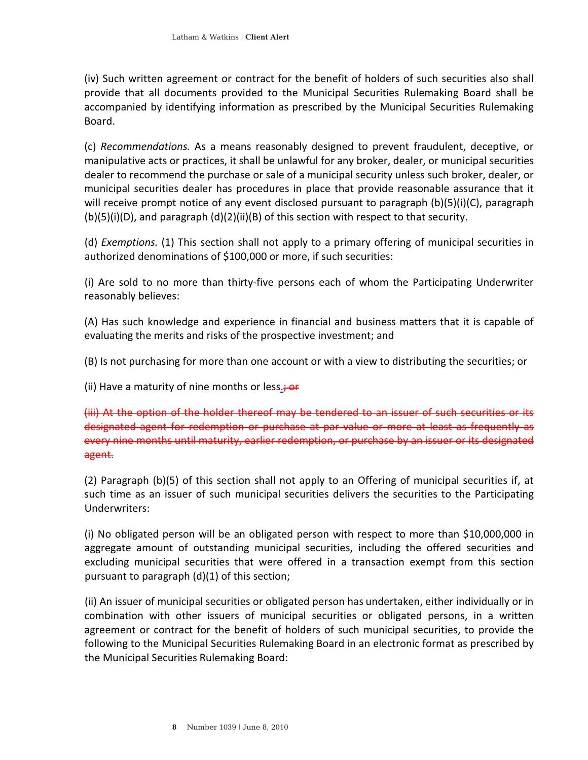(iv) Such written agreement or contract for the benefit of holders of such securities also shall provide that all documents provided to the Municipal Securities Rulemaking Board shall be accompanied by identifying information as prescribed by the Municipal Securities Rulemaking Board.

(c) Recommendations. As a means reasonably designed to prevent fraudulent, deceptive, or manipulative acts or practices, it shall be unlawful for any broker, dealer, or municipal securities dealer to recommend the purchase or sale of a municipal security unless such broker, dealer, or municipal securities dealer has procedures in place that provide reasonable assurance that it will receive prompt notice of any event disclosed pursuant to paragraph  $(b)(5)(i)(C)$ , paragraph  $(b)(5)(i)(D)$ , and paragraph  $(d)(2)(ii)(B)$  of this section with respect to that security.

(d) Exemptions. (1) This section shall not apply to a primary offering of municipal securities in authorized denominations of \$100,000 or more, if such securities:

(i) Are sold to no more than thirty-five persons each of whom the Participating Underwriter reasonably believes:

(A) Has such knowledge and experience in financial and business matters that it is capable of evaluating the merits and risks of the prospective investment; and

(B) Is not purchasing for more than one account or with a view to distributing the securities; or

(ii) Have a maturity of nine months or less.; or

(iii) At the option of the holder thereof may be tendered to an issuer of such securities or its designated agent for redemption or purchase at par value or more at least as frequently every nine months until maturity, earlier redemption, or purchase by an issuer or its designated <del>agent.</del>

(2) Paragraph (b)(5) of this section shall not apply to an Offering of municipal securities if, at such time as an issuer of such municipal securities delivers the securities to the Participating Underwriters:

(i) No obligated person will be an obligated person with respect to more than \$10,000,000 in aggregate amount of outstanding municipal securities, including the offered securities and excluding municipal securities that were offered in a transaction exempt from this section pursuant to paragraph (d)(1) of this section;

(ii) An issuer of municipal securities or obligated person has undertaken, either individually or in combination with other issuers of municipal securities or obligated persons, in a written agreement or contract for the benefit of holders of such municipal securities, to provide the following to the Municipal Securities Rulemaking Board in an electronic format as prescribed by the Municipal Securities Rulemaking Board: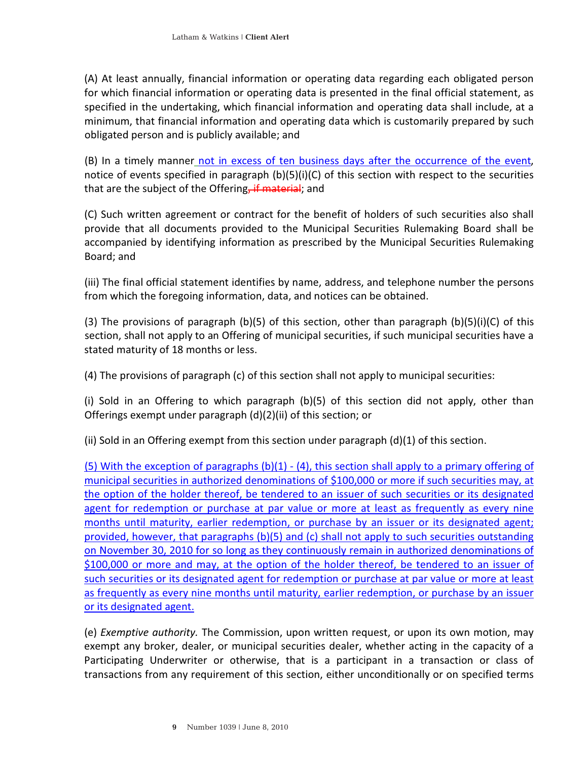(A) At least annually, financial information or operating data regarding each obligated person for which financial information or operating data is presented in the final official statement, as specified in the undertaking, which financial information and operating data shall include, at a minimum, that financial information and operating data which is customarily prepared by such obligated person and is publicly available; and

(B) In a timely manner not in excess of ten business days after the occurrence of the event, notice of events specified in paragraph  $(b)(5)(i)(C)$  of this section with respect to the securities that are the subject of the Offering, if material; and

(C) Such written agreement or contract for the benefit of holders of such securities also shall provide that all documents provided to the Municipal Securities Rulemaking Board shall be accompanied by identifying information as prescribed by the Municipal Securities Rulemaking Board; and

(iii) The final official statement identifies by name, address, and telephone number the persons from which the foregoing information, data, and notices can be obtained.

(3) The provisions of paragraph (b)(5) of this section, other than paragraph (b)(5)(i)(C) of this section, shall not apply to an Offering of municipal securities, if such municipal securities have a stated maturity of 18 months or less.

(4) The provisions of paragraph (c) of this section shall not apply to municipal securities:

(i) Sold in an Offering to which paragraph (b)(5) of this section did not apply, other than Offerings exempt under paragraph (d)(2)(ii) of this section; or

(ii) Sold in an Offering exempt from this section under paragraph  $(d)(1)$  of this section.

(5) With the exception of paragraphs  $(b)(1) - (4)$ , this section shall apply to a primary offering of municipal securities in authorized denominations of \$100,000 or more if such securities may, at the option of the holder thereof, be tendered to an issuer of such securities or its designated agent for redemption or purchase at par value or more at least as frequently as every nine months until maturity, earlier redemption, or purchase by an issuer or its designated agent; provided, however, that paragraphs (b)(5) and (c) shall not apply to such securities outstanding on November 30, 2010 for so long as they continuously remain in authorized denominations of \$100,000 or more and may, at the option of the holder thereof, be tendered to an issuer of such securities or its designated agent for redemption or purchase at par value or more at least as frequently as every nine months until maturity, earlier redemption, or purchase by an issuer or its designated agent.

(e) Exemptive authority. The Commission, upon written request, or upon its own motion, may exempt any broker, dealer, or municipal securities dealer, whether acting in the capacity of a Participating Underwriter or otherwise, that is a participant in a transaction or class of transactions from any requirement of this section, either unconditionally or on specified terms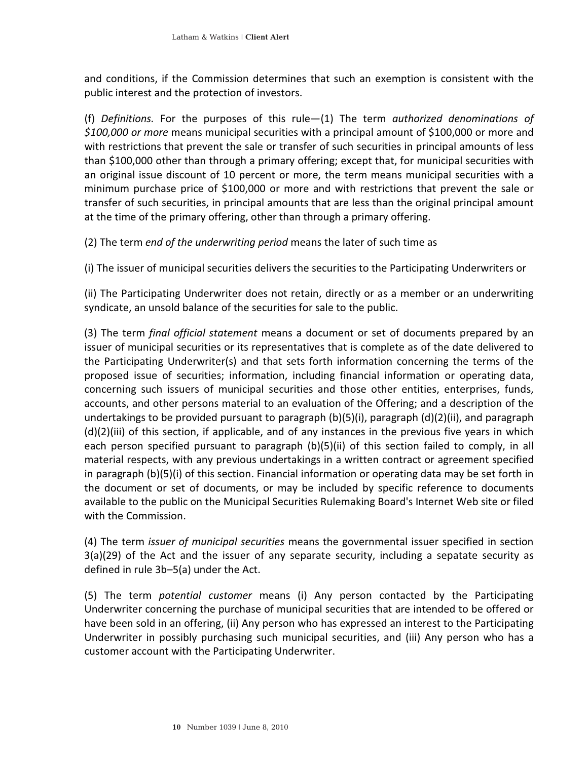and conditions, if the Commission determines that such an exemption is consistent with the public interest and the protection of investors.

(f) Definitions. For the purposes of this rule-(1) The term authorized denominations of \$100,000 or more means municipal securities with a principal amount of \$100,000 or more and with restrictions that prevent the sale or transfer of such securities in principal amounts of less than \$100,000 other than through a primary offering; except that, for municipal securities with an original issue discount of 10 percent or more, the term means municipal securities with a minimum purchase price of \$100,000 or more and with restrictions that prevent the sale or transfer of such securities, in principal amounts that are less than the original principal amount at the time of the primary offering, other than through a primary offering.

(2) The term end of the underwriting period means the later of such time as

(i) The issuer of municipal securities delivers the securities to the Participating Underwriters or

(ii) The Participating Underwriter does not retain, directly or as a member or an underwriting syndicate, an unsold balance of the securities for sale to the public.

(3) The term *final official statement* means a document or set of documents prepared by an issuer of municipal securities or its representatives that is complete as of the date delivered to the Participating Underwriter(s) and that sets forth information concerning the terms of the proposed issue of securities; information, including financial information or operating data, concerning such issuers of municipal securities and those other entities, enterprises, funds, accounts, and other persons material to an evaluation of the Offering; and a description of the undertakings to be provided pursuant to paragraph  $(b)(5)(i)$ , paragraph  $(d)(2)(ii)$ , and paragraph  $(d)(2)(iii)$  of this section, if applicable, and of any instances in the previous five years in which each person specified pursuant to paragraph (b)(5)(ii) of this section failed to comply, in all material respects, with any previous undertakings in a written contract or agreement specified in paragraph (b)(5)(i) of this section. Financial information or operating data may be set forth in the document or set of documents, or may be included by specific reference to documents available to the public on the Municipal Securities Rulemaking Board's Internet Web site or filed with the Commission.

(4) The term *issuer of municipal securities* means the governmental issuer specified in section  $3(a)(29)$  of the Act and the issuer of any separate security, including a sepatate security as defined in rule 3b-5(a) under the Act.

(5) The term *potential customer* means (i) Any person contacted by the Participating Underwriter concerning the purchase of municipal securities that are intended to be offered or have been sold in an offering, (ii) Any person who has expressed an interest to the Participating Underwriter in possibly purchasing such municipal securities, and (iii) Any person who has a customer account with the Participating Underwriter.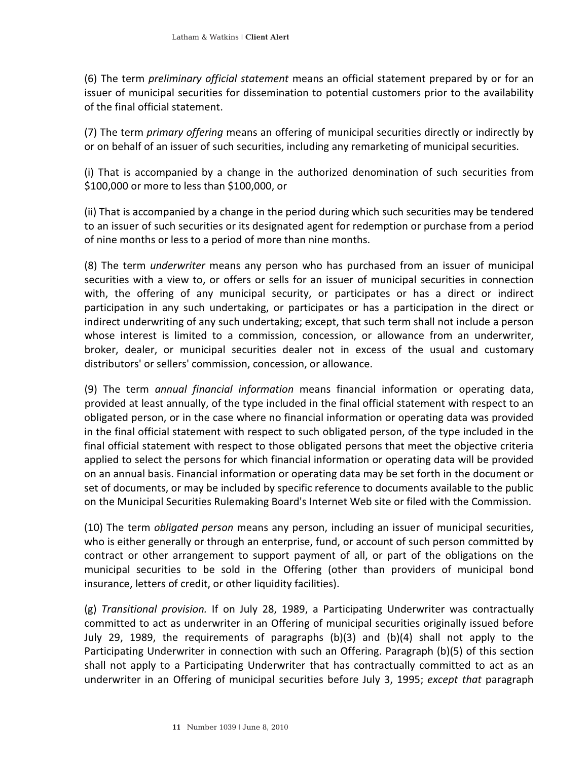(6) The term *preliminary official statement* means an official statement prepared by or for an issuer of municipal securities for dissemination to potential customers prior to the availability of the final official statement.

(7) The term *primary offering* means an offering of municipal securities directly or indirectly by or on behalf of an issuer of such securities, including any remarketing of municipal securities.

(i) That is accompanied by a change in the authorized denomination of such securities from \$100,000 or more to less than \$100,000, or

(ii) That is accompanied by a change in the period during which such securities may be tendered to an issuer of such securities or its designated agent for redemption or purchase from a period of nine months or less to a period of more than nine months.

(8) The term underwriter means any person who has purchased from an issuer of municipal securities with a view to, or offers or sells for an issuer of municipal securities in connection with, the offering of any municipal security, or participates or has a direct or indirect participation in any such undertaking, or participates or has a participation in the direct or indirect underwriting of any such undertaking; except, that such term shall not include a person whose interest is limited to a commission, concession, or allowance from an underwriter, broker, dealer, or municipal securities dealer not in excess of the usual and customary distributors' or sellers' commission, concession, or allowance.

(9) The term *annual financial information* means financial information or operating data, provided at least annually, of the type included in the final official statement with respect to an obligated person, or in the case where no financial information or operating data was provided in the final official statement with respect to such obligated person, of the type included in the final official statement with respect to those obligated persons that meet the objective criteria applied to select the persons for which financial information or operating data will be provided on an annual basis. Financial information or operating data may be set forth in the document or set of documents, or may be included by specific reference to documents available to the public on the Municipal Securities Rulemaking Board's Internet Web site or filed with the Commission.

(10) The term obligated person means any person, including an issuer of municipal securities, who is either generally or through an enterprise, fund, or account of such person committed by contract or other arrangement to support payment of all, or part of the obligations on the municipal securities to be sold in the Offering (other than providers of municipal bond insurance, letters of credit, or other liquidity facilities).

(g) Transitional provision. If on July 28, 1989, a Participating Underwriter was contractually committed to act as underwriter in an Offering of municipal securities originally issued before July 29, 1989, the requirements of paragraphs (b)(3) and (b)(4) shall not apply to the Participating Underwriter in connection with such an Offering. Paragraph (b)(5) of this section shall not apply to a Participating Underwriter that has contractually committed to act as an underwriter in an Offering of municipal securities before July 3, 1995; except that paragraph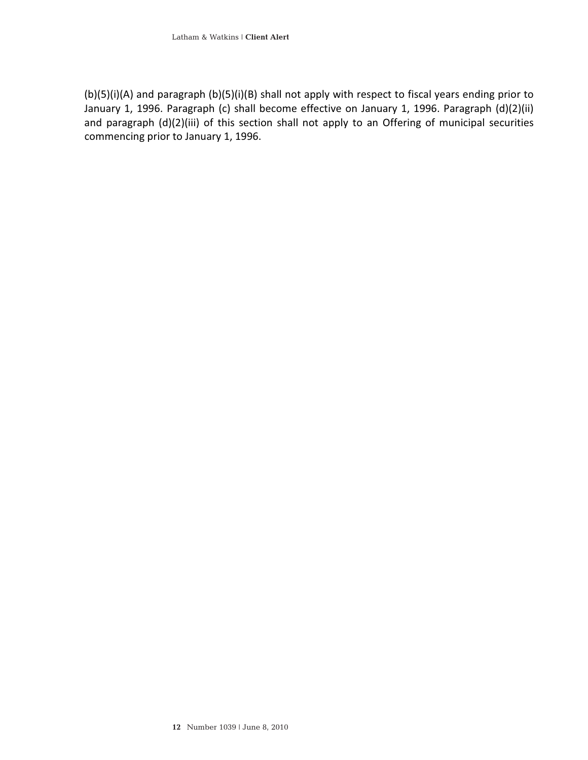(b)(5)(i)(A) and paragraph (b)(5)(i)(B) shall not apply with respect to fiscal years ending prior to January 1, 1996. Paragraph (c) shall become effective on January 1, 1996. Paragraph (d)(2)(ii) and paragraph (d)(2)(iii) of this section shall not apply to an Offering of municipal securities commencing prior to January 1, 1996.